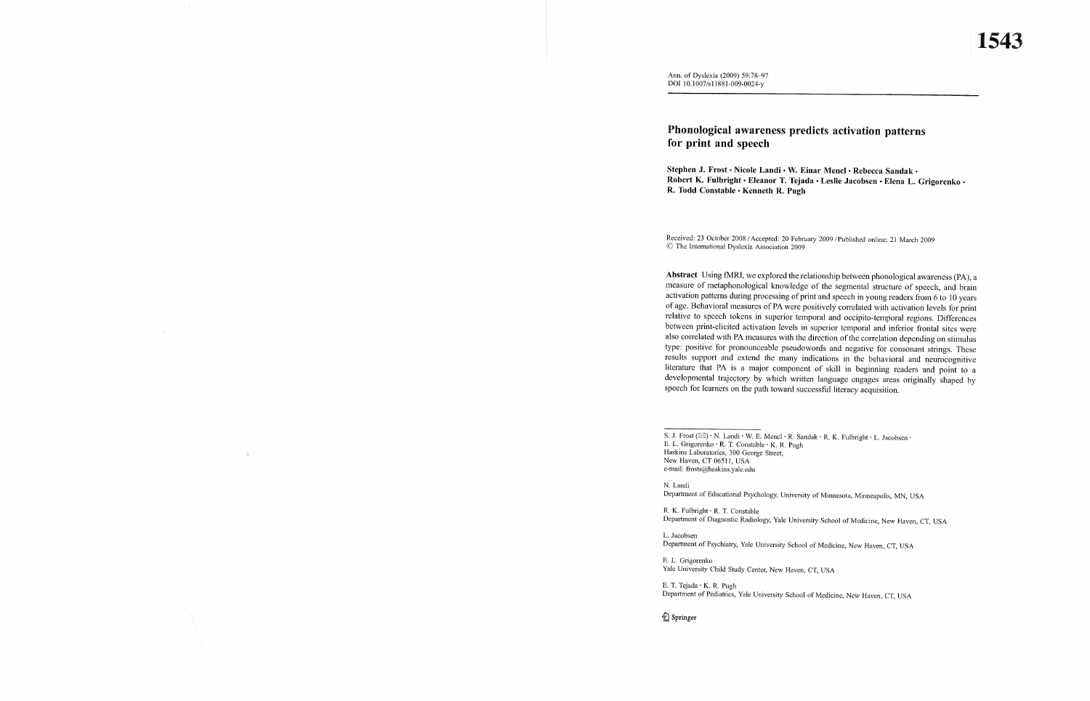# Phonological awareness predicts activation patterns for print and speech

Stephen J. Frost · Nicole Landi · W. Einar Mencl · Rebecca Sandak · Robert K. Fulbright · Eleanor T. Tejada · Leslie Jacobsen · Elena L. Grigorenko · R. Todd Constable · Kenneth R. Pugh

Received: 23 October 2008 / Accepted: 20 February 2009 / Published online: 21 March 2009 © The International Dyslexia Association 2009

Abstract Using fMRI, we explored the relationship between phonological awareness (PA), a measure of metaphonological knowledge of the segmental structure of speech, and brain activation patterns during processing of print and speech in young readers from 6 to 10 years of age. Behavioral measures of PA were positively correlated with activation levels for print relative to speech tokens in superior temporal and occipito-temporal regions. Differences between print-elicited activation levels in superior temporal and inferior frontal sites were also correlated with PA measures with the direction of the correlation depending on stimulus type: positive for pronounceable pseudowords and negative for consonant strings. These results support and extend the many indications in the behavioral and neurocognitive literature that PA is a major component of skill in beginning readers and point to a developmental trajectory by which written language engages areas originally shaped by speech for learners on the path toward successful literacy acquisition.

S. J. Frost ( $\boxtimes$ ) · N. Landi · W. E. Mencl · R. Sandak · R. K. Fulbright · L. Jacobsen ·

New Haven, CT 06511, USA

N. Landi Department of Educational Psychology, University of Minnesota, Minneapolis, MN, USA

R. K. Fulbright · R. T. Constable Department of Diagnostic Radiology, Yale University School of Medicine, New Haven, CT, USA

L. Jacobsen Department of Psychiatry, Yale University School of Medicine, New Haven, CT, USA

E. L. Grigorenko Yale University Child Study Center, New Haven, CT, USA

E. T. Tejada · K. R. Pugh Department of Pediatrics, Yale University School of Medicine, New Haven, CT, USA

 $\mathcal{D}$  Springer

E. L. Grigorenko · R. T. Constable · K. R. Pugh

Haskins Laboratories, 300 George Street,

e-mail: frosts@haskins.yale.edu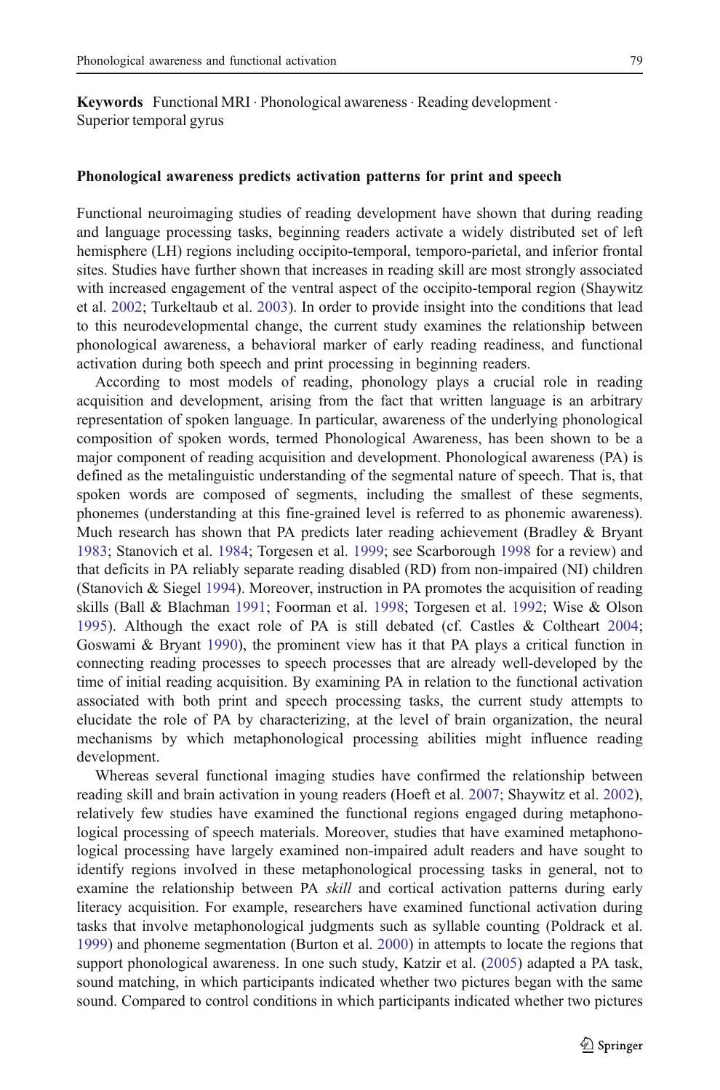Keywords Functional MRI . Phonological awareness . Reading development . Superior temporal gyrus

#### Phonological awareness predicts activation patterns for print and speech

Functional neuroimaging studies of reading development have shown that during reading and language processing tasks, beginning readers activate a widely distributed set of left hemisphere (LH) regions including occipito-temporal, temporo-parietal, and inferior frontal sites. Studies have further shown that increases in reading skill are most strongly associated with increased engagement of the ventral aspect of the occipito-temporal region (Shaywitz et al. [2002;](#page-19-0) Turkeltaub et al. [2003\)](#page-19-0). In order to provide insight into the conditions that lead to this neurodevelopmental change, the current study examines the relationship between phonological awareness, a behavioral marker of early reading readiness, and functional activation during both speech and print processing in beginning readers.

According to most models of reading, phonology plays a crucial role in reading acquisition and development, arising from the fact that written language is an arbitrary representation of spoken language. In particular, awareness of the underlying phonological composition of spoken words, termed Phonological Awareness, has been shown to be a major component of reading acquisition and development. Phonological awareness (PA) is defined as the metalinguistic understanding of the segmental nature of speech. That is, that spoken words are composed of segments, including the smallest of these segments, phonemes (understanding at this fine-grained level is referred to as phonemic awareness). Much research has shown that PA predicts later reading achievement (Bradley & Bryant [1983;](#page-17-0) Stanovich et al. [1984;](#page-19-0) Torgesen et al. [1999](#page-19-0); see Scarborough [1998](#page-18-0) for a review) and that deficits in PA reliably separate reading disabled (RD) from non-impaired (NI) children (Stanovich & Siegel [1994](#page-19-0)). Moreover, instruction in PA promotes the acquisition of reading skills (Ball & Blachman [1991;](#page-17-0) Foorman et al. [1998;](#page-17-0) Torgesen et al. [1992](#page-19-0); Wise & Olson [1995\)](#page-19-0). Although the exact role of PA is still debated (cf. Castles & Coltheart [2004](#page-17-0); Goswami & Bryant [1990](#page-18-0)), the prominent view has it that PA plays a critical function in connecting reading processes to speech processes that are already well-developed by the time of initial reading acquisition. By examining PA in relation to the functional activation associated with both print and speech processing tasks, the current study attempts to elucidate the role of PA by characterizing, at the level of brain organization, the neural mechanisms by which metaphonological processing abilities might influence reading development.

Whereas several functional imaging studies have confirmed the relationship between reading skill and brain activation in young readers (Hoeft et al. [2007](#page-18-0); Shaywitz et al. [2002](#page-19-0)), relatively few studies have examined the functional regions engaged during metaphonological processing of speech materials. Moreover, studies that have examined metaphonological processing have largely examined non-impaired adult readers and have sought to identify regions involved in these metaphonological processing tasks in general, not to examine the relationship between PA *skill* and cortical activation patterns during early literacy acquisition. For example, researchers have examined functional activation during tasks that involve metaphonological judgments such as syllable counting (Poldrack et al. [1999\)](#page-18-0) and phoneme segmentation (Burton et al. [2000](#page-17-0)) in attempts to locate the regions that support phonological awareness. In one such study, Katzir et al. ([2005\)](#page-18-0) adapted a PA task, sound matching, in which participants indicated whether two pictures began with the same sound. Compared to control conditions in which participants indicated whether two pictures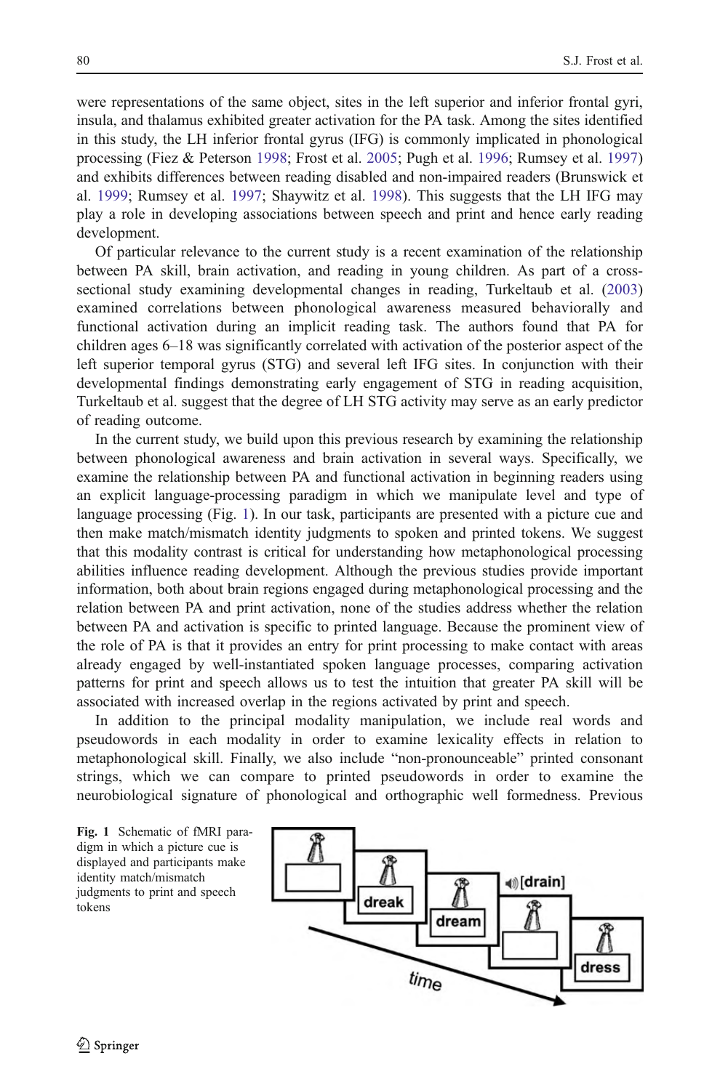<span id="page-2-0"></span>were representations of the same object, sites in the left superior and inferior frontal gyri, insula, and thalamus exhibited greater activation for the PA task. Among the sites identified in this study, the LH inferior frontal gyrus (IFG) is commonly implicated in phonological processing (Fiez & Peterson [1998](#page-17-0); Frost et al. [2005;](#page-17-0) Pugh et al. [1996;](#page-18-0) Rumsey et al. [1997\)](#page-18-0) and exhibits differences between reading disabled and non-impaired readers (Brunswick et al. [1999](#page-17-0); Rumsey et al. [1997;](#page-18-0) Shaywitz et al. [1998\)](#page-18-0). This suggests that the LH IFG may play a role in developing associations between speech and print and hence early reading development.

Of particular relevance to the current study is a recent examination of the relationship between PA skill, brain activation, and reading in young children. As part of a crosssectional study examining developmental changes in reading, Turkeltaub et al. ([2003\)](#page-19-0) examined correlations between phonological awareness measured behaviorally and functional activation during an implicit reading task. The authors found that PA for children ages 6–18 was significantly correlated with activation of the posterior aspect of the left superior temporal gyrus (STG) and several left IFG sites. In conjunction with their developmental findings demonstrating early engagement of STG in reading acquisition, Turkeltaub et al. suggest that the degree of LH STG activity may serve as an early predictor of reading outcome.

In the current study, we build upon this previous research by examining the relationship between phonological awareness and brain activation in several ways. Specifically, we examine the relationship between PA and functional activation in beginning readers using an explicit language-processing paradigm in which we manipulate level and type of language processing (Fig. 1). In our task, participants are presented with a picture cue and then make match/mismatch identity judgments to spoken and printed tokens. We suggest that this modality contrast is critical for understanding how metaphonological processing abilities influence reading development. Although the previous studies provide important information, both about brain regions engaged during metaphonological processing and the relation between PA and print activation, none of the studies address whether the relation between PA and activation is specific to printed language. Because the prominent view of the role of PA is that it provides an entry for print processing to make contact with areas already engaged by well-instantiated spoken language processes, comparing activation patterns for print and speech allows us to test the intuition that greater PA skill will be associated with increased overlap in the regions activated by print and speech.

In addition to the principal modality manipulation, we include real words and pseudowords in each modality in order to examine lexicality effects in relation to metaphonological skill. Finally, we also include "non-pronounceable" printed consonant strings, which we can compare to printed pseudowords in order to examine the neurobiological signature of phonological and orthographic well formedness. Previous

Fig. 1 Schematic of fMRI paradigm in which a picture cue is displayed and participants make identity match/mismatch judgments to print and speech tokens

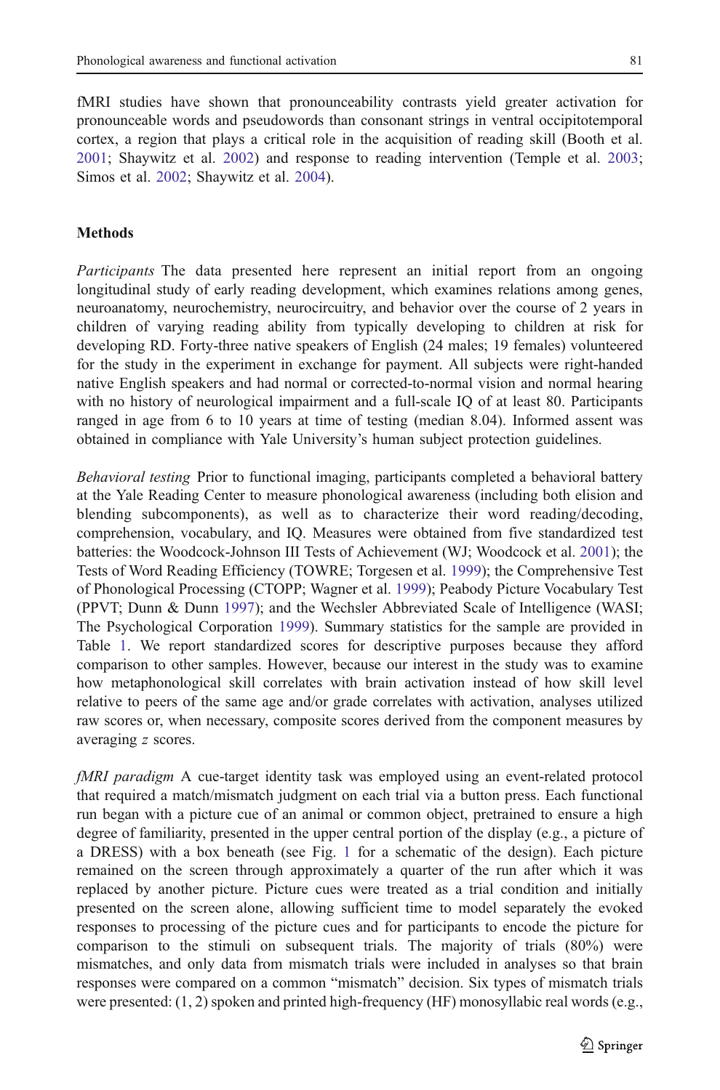fMRI studies have shown that pronounceability contrasts yield greater activation for pronounceable words and pseudowords than consonant strings in ventral occipitotemporal cortex, a region that plays a critical role in the acquisition of reading skill (Booth et al. [2001;](#page-17-0) Shaywitz et al. [2002](#page-19-0)) and response to reading intervention (Temple et al. [2003](#page-19-0); Simos et al. [2002](#page-19-0); Shaywitz et al. [2004\)](#page-19-0).

## **Methods**

Participants The data presented here represent an initial report from an ongoing longitudinal study of early reading development, which examines relations among genes, neuroanatomy, neurochemistry, neurocircuitry, and behavior over the course of 2 years in children of varying reading ability from typically developing to children at risk for developing RD. Forty-three native speakers of English (24 males; 19 females) volunteered for the study in the experiment in exchange for payment. All subjects were right-handed native English speakers and had normal or corrected-to-normal vision and normal hearing with no history of neurological impairment and a full-scale IQ of at least 80. Participants ranged in age from 6 to 10 years at time of testing (median 8.04). Informed assent was obtained in compliance with Yale University's human subject protection guidelines.

Behavioral testing Prior to functional imaging, participants completed a behavioral battery at the Yale Reading Center to measure phonological awareness (including both elision and blending subcomponents), as well as to characterize their word reading/decoding, comprehension, vocabulary, and IQ. Measures were obtained from five standardized test batteries: the Woodcock-Johnson III Tests of Achievement (WJ; Woodcock et al. [2001](#page-19-0)); the Tests of Word Reading Efficiency (TOWRE; Torgesen et al. [1999\)](#page-19-0); the Comprehensive Test of Phonological Processing (CTOPP; Wagner et al. [1999](#page-19-0)); Peabody Picture Vocabulary Test (PPVT; Dunn & Dunn [1997\)](#page-17-0); and the Wechsler Abbreviated Scale of Intelligence (WASI; The Psychological Corporation [1999](#page-18-0)). Summary statistics for the sample are provided in Table [1.](#page-4-0) We report standardized scores for descriptive purposes because they afford comparison to other samples. However, because our interest in the study was to examine how metaphonological skill correlates with brain activation instead of how skill level relative to peers of the same age and/or grade correlates with activation, analyses utilized raw scores or, when necessary, composite scores derived from the component measures by averaging z scores.

fMRI paradigm A cue-target identity task was employed using an event-related protocol that required a match/mismatch judgment on each trial via a button press. Each functional run began with a picture cue of an animal or common object, pretrained to ensure a high degree of familiarity, presented in the upper central portion of the display (e.g., a picture of a DRESS) with a box beneath (see Fig. [1](#page-2-0) for a schematic of the design). Each picture remained on the screen through approximately a quarter of the run after which it was replaced by another picture. Picture cues were treated as a trial condition and initially presented on the screen alone, allowing sufficient time to model separately the evoked responses to processing of the picture cues and for participants to encode the picture for comparison to the stimuli on subsequent trials. The majority of trials (80%) were mismatches, and only data from mismatch trials were included in analyses so that brain responses were compared on a common "mismatch" decision. Six types of mismatch trials were presented: (1, 2) spoken and printed high-frequency (HF) monosyllabic real words (e.g.,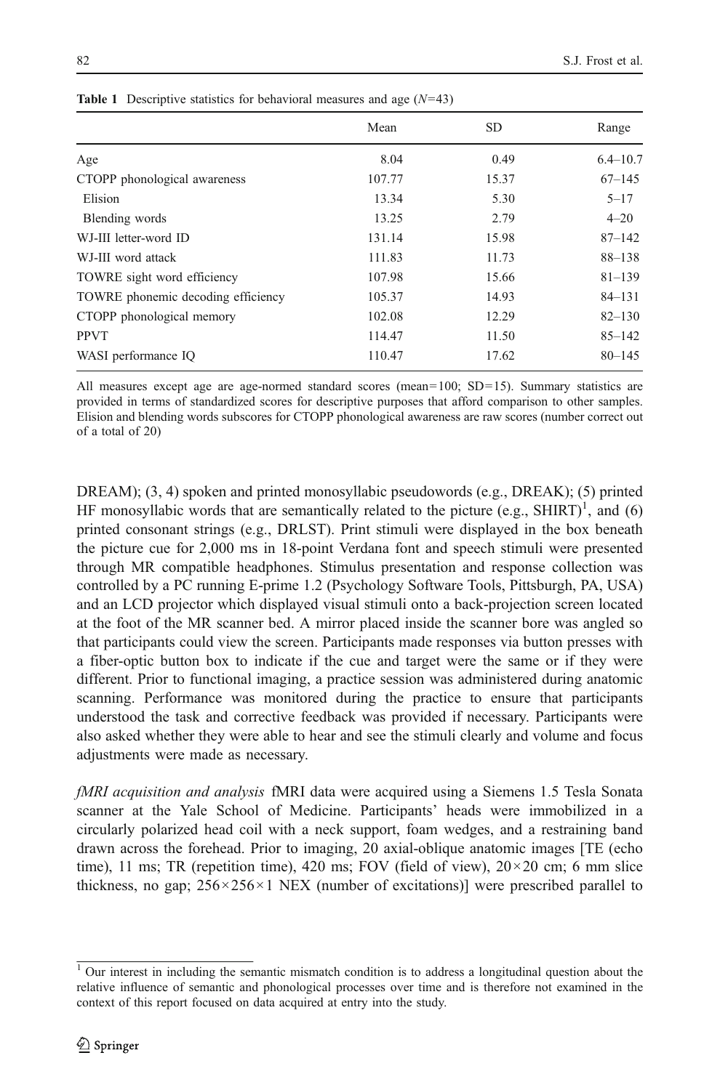| Mean   | <b>SD</b> | Range        |
|--------|-----------|--------------|
| 8.04   | 0.49      | $6.4 - 10.7$ |
| 107.77 | 15.37     | $67 - 145$   |
| 13.34  | 5.30      | $5 - 17$     |
| 13.25  | 2.79      | $4 - 20$     |
| 131.14 | 15.98     | $87 - 142$   |
| 111.83 | 11.73     | $88 - 138$   |
| 107.98 | 15.66     | $81 - 139$   |
| 105.37 | 14.93     | $84 - 131$   |
| 102.08 | 12.29     | $82 - 130$   |
| 114.47 | 11.50     | $85 - 142$   |
| 110.47 | 17.62     | $80 - 145$   |
|        |           |              |

<span id="page-4-0"></span>**Table 1** Descriptive statistics for behavioral measures and age  $(N=43)$ 

All measures except age are age-normed standard scores (mean=100; SD=15). Summary statistics are provided in terms of standardized scores for descriptive purposes that afford comparison to other samples. Elision and blending words subscores for CTOPP phonological awareness are raw scores (number correct out of a total of 20)

DREAM); (3, 4) spoken and printed monosyllabic pseudowords (e.g., DREAK); (5) printed HF monosyllabic words that are semantically related to the picture (e.g.,  $SHIRT)^1$ , and (6) printed consonant strings (e.g., DRLST). Print stimuli were displayed in the box beneath the picture cue for 2,000 ms in 18-point Verdana font and speech stimuli were presented through MR compatible headphones. Stimulus presentation and response collection was controlled by a PC running E-prime 1.2 (Psychology Software Tools, Pittsburgh, PA, USA) and an LCD projector which displayed visual stimuli onto a back-projection screen located at the foot of the MR scanner bed. A mirror placed inside the scanner bore was angled so that participants could view the screen. Participants made responses via button presses with a fiber-optic button box to indicate if the cue and target were the same or if they were different. Prior to functional imaging, a practice session was administered during anatomic scanning. Performance was monitored during the practice to ensure that participants understood the task and corrective feedback was provided if necessary. Participants were also asked whether they were able to hear and see the stimuli clearly and volume and focus adjustments were made as necessary.

fMRI acquisition and analysis fMRI data were acquired using a Siemens 1.5 Tesla Sonata scanner at the Yale School of Medicine. Participants' heads were immobilized in a circularly polarized head coil with a neck support, foam wedges, and a restraining band drawn across the forehead. Prior to imaging, 20 axial-oblique anatomic images [TE (echo time), 11 ms; TR (repetition time), 420 ms; FOV (field of view),  $20 \times 20$  cm; 6 mm slice thickness, no gap;  $256 \times 256 \times 1$  NEX (number of excitations)] were prescribed parallel to

<sup>&</sup>lt;sup>1</sup> Our interest in including the semantic mismatch condition is to address a longitudinal question about the relative influence of semantic and phonological processes over time and is therefore not examined in the context of this report focused on data acquired at entry into the study.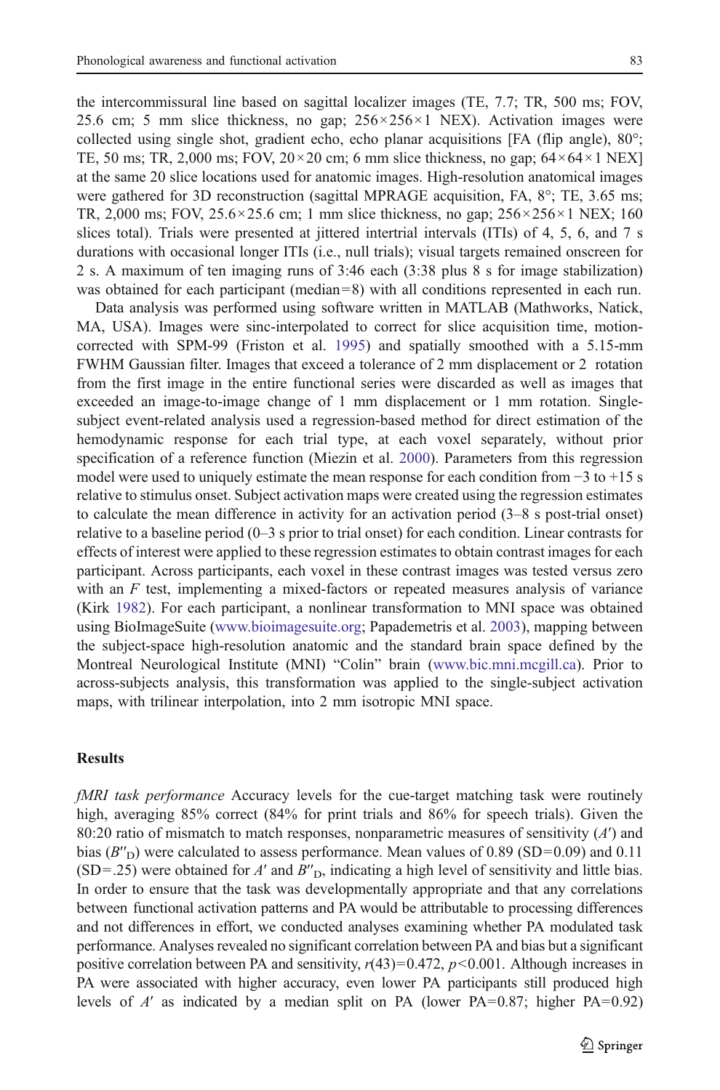the intercommissural line based on sagittal localizer images (TE, 7.7; TR, 500 ms; FOV, 25.6 cm; 5 mm slice thickness, no gap;  $256 \times 256 \times 1$  NEX). Activation images were collected using single shot, gradient echo, echo planar acquisitions [FA (flip angle), 80°; TE, 50 ms; TR, 2,000 ms; FOV,  $20 \times 20$  cm; 6 mm slice thickness, no gap;  $64 \times 64 \times 1$  NEX] at the same 20 slice locations used for anatomic images. High-resolution anatomical images were gathered for 3D reconstruction (sagittal MPRAGE acquisition, FA,  $8^\circ$ ; TE, 3.65 ms; TR, 2,000 ms; FOV, 25.6 $\times$ 25.6 cm; 1 mm slice thickness, no gap; 256 $\times$ 256 $\times$ 1 NEX; 160 slices total). Trials were presented at jittered intertrial intervals (ITIs) of 4, 5, 6, and 7 s durations with occasional longer ITIs (i.e., null trials); visual targets remained onscreen for 2 s. A maximum of ten imaging runs of 3:46 each (3:38 plus 8 s for image stabilization) was obtained for each participant (median=8) with all conditions represented in each run.

Data analysis was performed using software written in MATLAB (Mathworks, Natick, MA, USA). Images were sinc-interpolated to correct for slice acquisition time, motioncorrected with SPM-99 (Friston et al. [1995](#page-17-0)) and spatially smoothed with a 5.15-mm FWHM Gaussian filter. Images that exceed a tolerance of 2 mm displacement or 2 rotation from the first image in the entire functional series were discarded as well as images that exceeded an image-to-image change of 1 mm displacement or 1 mm rotation. Singlesubject event-related analysis used a regression-based method for direct estimation of the hemodynamic response for each trial type, at each voxel separately, without prior specification of a reference function (Miezin et al. [2000\)](#page-18-0). Parameters from this regression model were used to uniquely estimate the mean response for each condition from −3 to +15 s relative to stimulus onset. Subject activation maps were created using the regression estimates to calculate the mean difference in activity for an activation period (3–8 s post-trial onset) relative to a baseline period (0–3 s prior to trial onset) for each condition. Linear contrasts for effects of interest were applied to these regression estimates to obtain contrast images for each participant. Across participants, each voxel in these contrast images was tested versus zero with an  $F$  test, implementing a mixed-factors or repeated measures analysis of variance (Kirk [1982](#page-18-0)). For each participant, a nonlinear transformation to MNI space was obtained using BioImageSuite [\(www.bioimagesuite.org;](http://www.bioimagesuite.org) Papademetris et al. [2003](#page-18-0)), mapping between the subject-space high-resolution anatomic and the standard brain space defined by the Montreal Neurological Institute (MNI) "Colin" brain [\(www.bic.mni.mcgill.ca\)](http://www.bic.mni.mcgill.ca). Prior to across-subjects analysis, this transformation was applied to the single-subject activation maps, with trilinear interpolation, into 2 mm isotropic MNI space.

### **Results**

fMRI task performance Accuracy levels for the cue-target matching task were routinely high, averaging 85% correct (84% for print trials and 86% for speech trials). Given the 80:20 ratio of mismatch to match responses, nonparametric measures of sensitivity  $(A')$  and bias  $(B''_D)$  were calculated to assess performance. Mean values of 0.89 (SD=0.09) and 0.11 (SD=.25) were obtained for A' and B''<sub>D</sub>, indicating a high level of sensitivity and little bias. In order to ensure that the task was developmentally appropriate and that any correlations between functional activation patterns and PA would be attributable to processing differences and not differences in effort, we conducted analyses examining whether PA modulated task performance. Analyses revealed no significant correlation between PA and bias but a significant positive correlation between PA and sensitivity,  $r(43)=0.472$ ,  $p<0.001$ . Although increases in PA were associated with higher accuracy, even lower PA participants still produced high levels of  $A'$  as indicated by a median split on PA (lower PA=0.87; higher PA=0.92)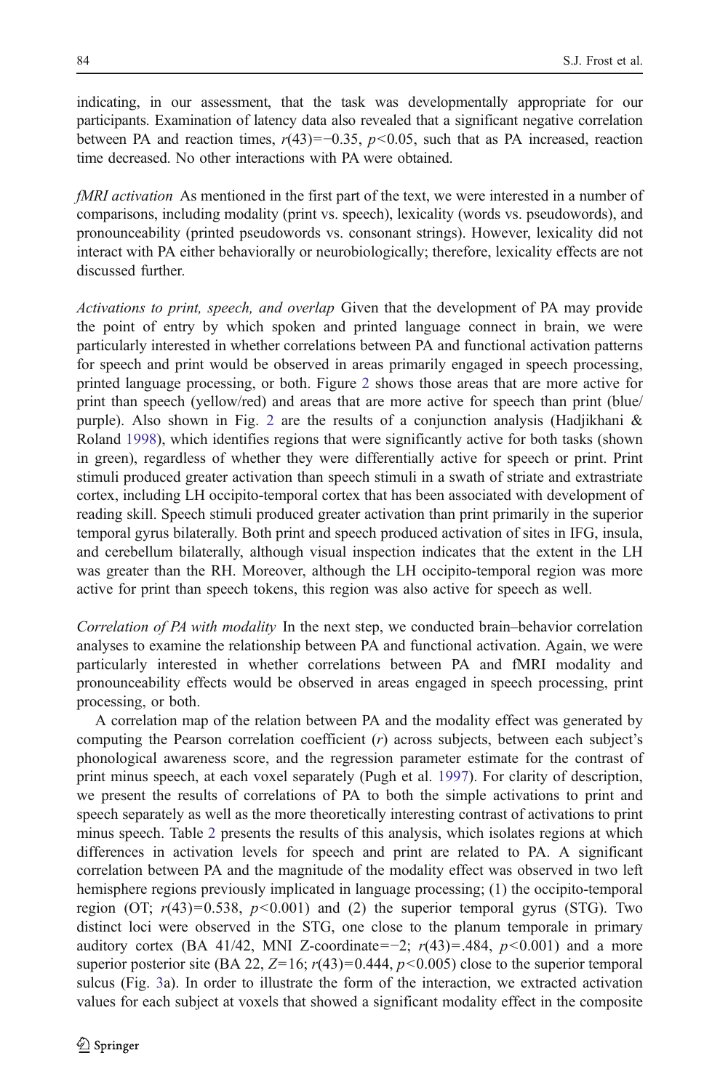indicating, in our assessment, that the task was developmentally appropriate for our participants. Examination of latency data also revealed that a significant negative correlation between PA and reaction times,  $r(43) = -0.35$ ,  $p < 0.05$ , such that as PA increased, reaction time decreased. No other interactions with PA were obtained.

fMRI activation As mentioned in the first part of the text, we were interested in a number of comparisons, including modality (print vs. speech), lexicality (words vs. pseudowords), and pronounceability (printed pseudowords vs. consonant strings). However, lexicality did not interact with PA either behaviorally or neurobiologically; therefore, lexicality effects are not discussed further.

Activations to print, speech, and overlap Given that the development of PA may provide the point of entry by which spoken and printed language connect in brain, we were particularly interested in whether correlations between PA and functional activation patterns for speech and print would be observed in areas primarily engaged in speech processing, printed language processing, or both. Figure [2](#page-7-0) shows those areas that are more active for print than speech (yellow/red) and areas that are more active for speech than print (blue/ purple). Also shown in Fig. [2](#page-7-0) are the results of a conjunction analysis (Hadjikhani & Roland [1998\)](#page-18-0), which identifies regions that were significantly active for both tasks (shown in green), regardless of whether they were differentially active for speech or print. Print stimuli produced greater activation than speech stimuli in a swath of striate and extrastriate cortex, including LH occipito-temporal cortex that has been associated with development of reading skill. Speech stimuli produced greater activation than print primarily in the superior temporal gyrus bilaterally. Both print and speech produced activation of sites in IFG, insula, and cerebellum bilaterally, although visual inspection indicates that the extent in the LH was greater than the RH. Moreover, although the LH occipito-temporal region was more active for print than speech tokens, this region was also active for speech as well.

Correlation of PA with modality In the next step, we conducted brain–behavior correlation analyses to examine the relationship between PA and functional activation. Again, we were particularly interested in whether correlations between PA and fMRI modality and pronounceability effects would be observed in areas engaged in speech processing, print processing, or both.

A correlation map of the relation between PA and the modality effect was generated by computing the Pearson correlation coefficient  $(r)$  across subjects, between each subject's phonological awareness score, and the regression parameter estimate for the contrast of print minus speech, at each voxel separately (Pugh et al. [1997](#page-18-0)). For clarity of description, we present the results of correlations of PA to both the simple activations to print and speech separately as well as the more theoretically interesting contrast of activations to print minus speech. Table [2](#page-8-0) presents the results of this analysis, which isolates regions at which differences in activation levels for speech and print are related to PA. A significant correlation between PA and the magnitude of the modality effect was observed in two left hemisphere regions previously implicated in language processing; (1) the occipito-temporal region (OT;  $r(43)=0.538$ ,  $p<0.001$ ) and (2) the superior temporal gyrus (STG). Two distinct loci were observed in the STG, one close to the planum temporale in primary auditory cortex (BA 41/42, MNI Z-coordinate=−2;  $r(43)$ =.484,  $p$ <0.001) and a more superior posterior site (BA 22,  $Z=16$ ;  $r(43)=0.444$ ,  $p<0.005$ ) close to the superior temporal sulcus (Fig. [3a](#page-9-0)). In order to illustrate the form of the interaction, we extracted activation values for each subject at voxels that showed a significant modality effect in the composite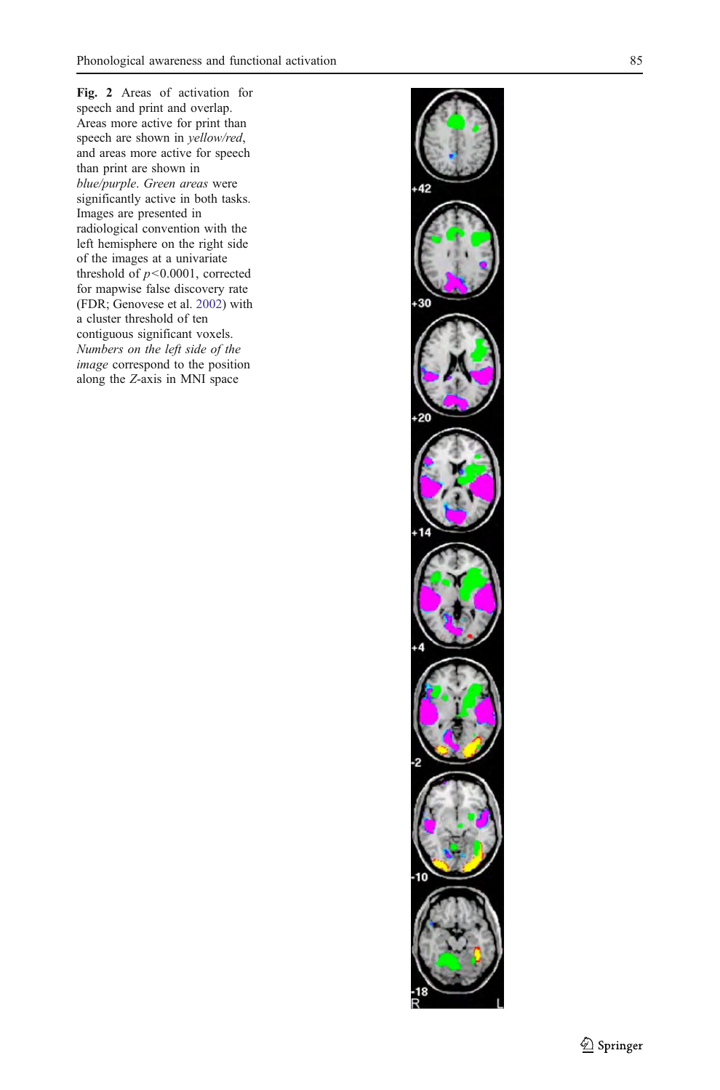<span id="page-7-0"></span>Fig. 2 Areas of activation for speech and print and overlap. Areas more active for print than speech are shown in *yellow/red*, and areas more active for speech than print are shown in blue/purple . Green areas were significantly active in both tasks. Images are presented in radiological convention with the left hemisphere on the right side of the images at a univariate threshold of  $p<0.0001$ , corrected for mapwise false discovery rate (FDR; Genovese et al. [2002\)](#page-17-0) with a cluster threshold of ten contiguous significant voxels. Numbers on the left side of the image correspond to the position along the Z-axis in MNI space

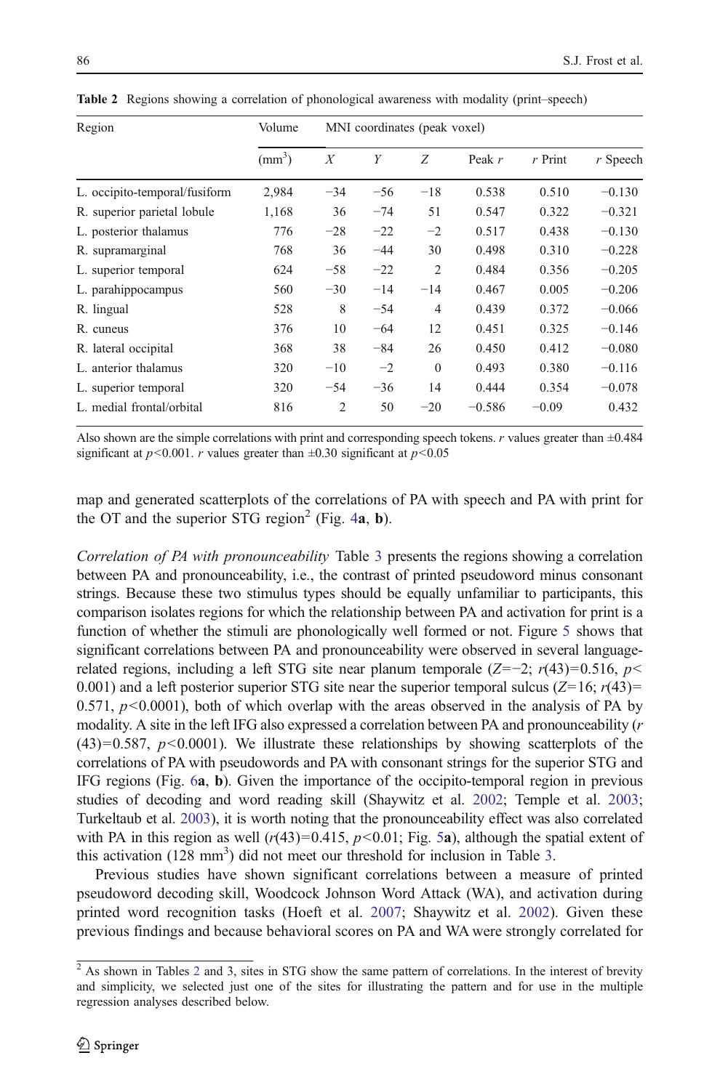| Region                        | Volume          |                  |       |                |          |           |            |
|-------------------------------|-----------------|------------------|-------|----------------|----------|-----------|------------|
|                               | $\text{mm}^3$ ) | $\boldsymbol{X}$ | Y     | Z              | Peak $r$ | $r$ Print | $r$ Speech |
| L. occipito-temporal/fusiform | 2,984           | $-34$            | $-56$ | $-18$          | 0.538    | 0.510     | $-0.130$   |
| R. superior parietal lobule   | 1,168           | 36               | $-74$ | 51             | 0.547    | 0.322     | $-0.321$   |
| L. posterior thalamus         | 776             | $-28$            | $-22$ | $-2$           | 0.517    | 0.438     | $-0.130$   |
| R. supramarginal              | 768             | 36               | $-44$ | 30             | 0.498    | 0.310     | $-0.228$   |
| L. superior temporal          | 624             | $-58$            | $-22$ | 2              | 0.484    | 0.356     | $-0.205$   |
| L. parahippocampus            | 560             | $-30$            | $-14$ | $-14$          | 0.467    | 0.005     | $-0.206$   |
| R. lingual                    | 528             | 8                | $-54$ | $\overline{4}$ | 0.439    | 0.372     | $-0.066$   |
| R. cuneus                     | 376             | 10               | $-64$ | 12             | 0.451    | 0.325     | $-0.146$   |
| R. lateral occipital          | 368             | 38               | $-84$ | 26             | 0.450    | 0.412     | $-0.080$   |
| L. anterior thalamus          | 320             | $-10$            | $-2$  | $\Omega$       | 0.493    | 0.380     | $-0.116$   |
| L. superior temporal          | 320             | $-54$            | $-36$ | 14             | 0.444    | 0.354     | $-0.078$   |
| L. medial frontal/orbital     | 816             | $\overline{2}$   | 50    | $-20$          | $-0.586$ | $-0.09$   | 0.432      |

<span id="page-8-0"></span>Table 2 Regions showing a correlation of phonological awareness with modality (print–speech)

Also shown are the simple correlations with print and corresponding speech tokens.  $r$  values greater than  $\pm 0.484$ significant at  $p < 0.001$ . *r* values greater than  $\pm 0.30$  significant at  $p < 0.05$ 

map and generated scatterplots of the correlations of PA with speech and PA with print for the OT and the superior STG region<sup>2</sup> (Fig. [4](#page-10-0)a, b).

Correlation of PA with pronounceability Table [3](#page-11-0) presents the regions showing a correlation between PA and pronounceability, i.e., the contrast of printed pseudoword minus consonant strings. Because these two stimulus types should be equally unfamiliar to participants, this comparison isolates regions for which the relationship between PA and activation for print is a function of whether the stimuli are phonologically well formed or not. Figure [5](#page-12-0) shows that significant correlations between PA and pronounceability were observed in several languagerelated regions, including a left STG site near planum temporale ( $Z=-2$ ;  $r(43)=0.516$ ,  $p<$ 0.001) and a left posterior superior STG site near the superior temporal sulcus  $(Z=16; r(43)=$ 0.571,  $p<0.0001$ ), both of which overlap with the areas observed in the analysis of PA by modality. A site in the left IFG also expressed a correlation between PA and pronounceability (r  $(43)=0.587$ ,  $p<0.0001$ ). We illustrate these relationships by showing scatterplots of the correlations of PA with pseudowords and PA with consonant strings for the superior STG and IFG regions (Fig. [6](#page-13-0)a, b). Given the importance of the occipito-temporal region in previous studies of decoding and word reading skill (Shaywitz et al. [2002](#page-19-0); Temple et al. [2003](#page-19-0); Turkeltaub et al. [2003\)](#page-19-0), it is worth noting that the pronounceability effect was also correlated with PA in this region as well  $(r(43)=0.415, p<0.01$  $(r(43)=0.415, p<0.01$  $(r(43)=0.415, p<0.01$ ; Fig. 5a), although the spatial extent of this activation  $(128 \text{ mm}^3)$  $(128 \text{ mm}^3)$  $(128 \text{ mm}^3)$  did not meet our threshold for inclusion in Table 3.

Previous studies have shown significant correlations between a measure of printed pseudoword decoding skill, Woodcock Johnson Word Attack (WA), and activation during printed word recognition tasks (Hoeft et al. [2007](#page-18-0); Shaywitz et al. [2002\)](#page-19-0). Given these previous findings and because behavioral scores on PA and WA were strongly correlated for

<sup>&</sup>lt;sup>2</sup> As shown in Tables 2 and 3, sites in STG show the same pattern of correlations. In the interest of brevity and simplicity, we selected just one of the sites for illustrating the pattern and for use in the multiple regression analyses described below.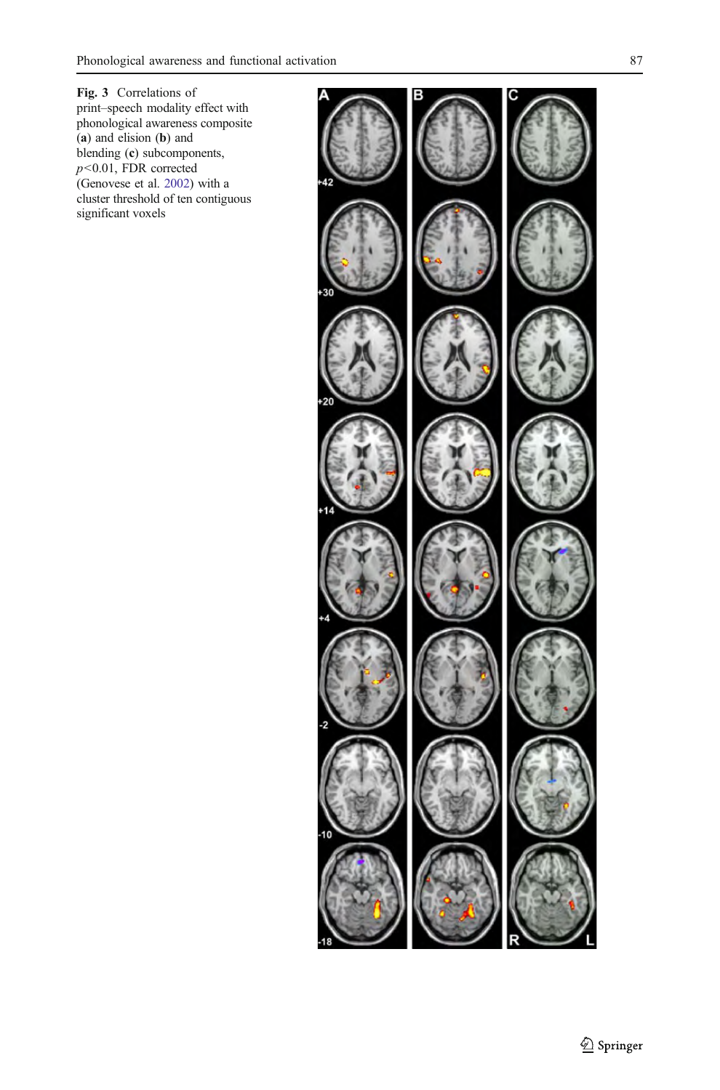

<span id="page-9-0"></span>Fig. 3 Correlations of print–speech modality effect with phonological awareness composite (a) and elision (b) and blending (c) subcomponents,  $p$ <0.01, FDR corrected (Genovese et al. [2002\)](#page-17-0) with a cluster threshold of ten contiguous significant voxels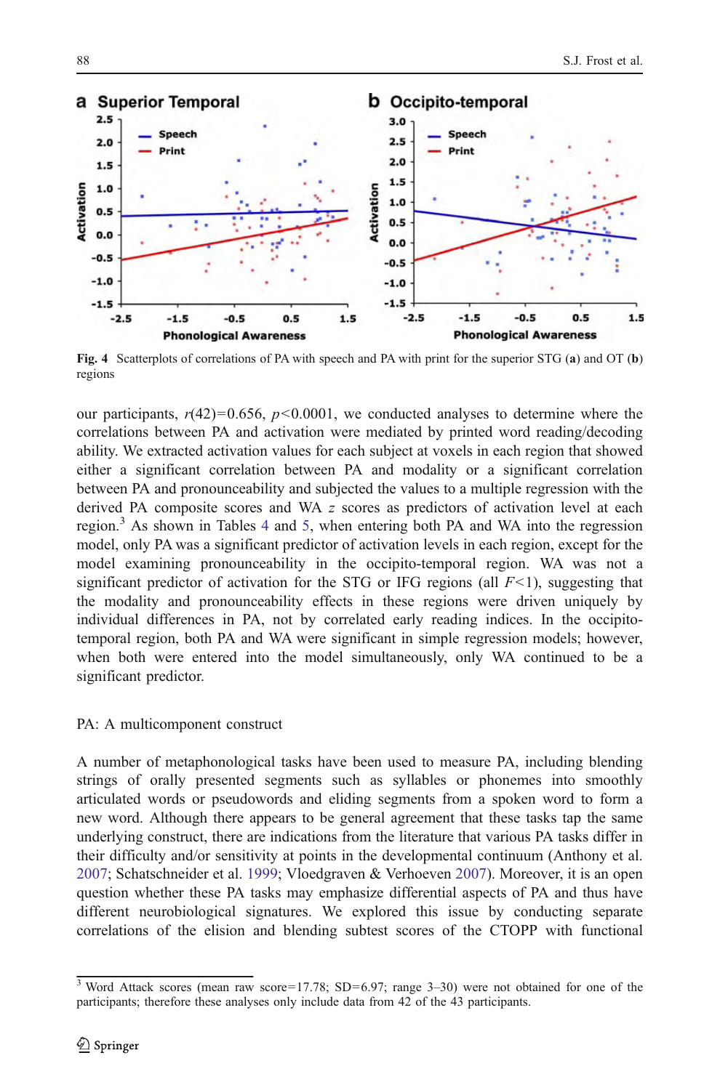<span id="page-10-0"></span>

Fig. 4 Scatterplots of correlations of PA with speech and PA with print for the superior STG (a) and OT (b) regions

our participants,  $r(42)=0.656$ ,  $p<0.0001$ , we conducted analyses to determine where the correlations between PA and activation were mediated by printed word reading/decoding ability. We extracted activation values for each subject at voxels in each region that showed either a significant correlation between PA and modality or a significant correlation between PA and pronounceability and subjected the values to a multiple regression with the derived PA composite scores and WA z scores as predictors of activation level at each region.<sup>3</sup> As shown in Tables [4](#page-14-0) and [5](#page-14-0), when entering both PA and WA into the regression model, only PA was a significant predictor of activation levels in each region, except for the model examining pronounceability in the occipito-temporal region. WA was not a significant predictor of activation for the STG or IFG regions (all  $F<1$ ), suggesting that the modality and pronounceability effects in these regions were driven uniquely by individual differences in PA, not by correlated early reading indices. In the occipitotemporal region, both PA and WA were significant in simple regression models; however, when both were entered into the model simultaneously, only WA continued to be a significant predictor.

#### PA: A multicomponent construct

A number of metaphonological tasks have been used to measure PA, including blending strings of orally presented segments such as syllables or phonemes into smoothly articulated words or pseudowords and eliding segments from a spoken word to form a new word. Although there appears to be general agreement that these tasks tap the same underlying construct, there are indications from the literature that various PA tasks differ in their difficulty and/or sensitivity at points in the developmental continuum (Anthony et al. [2007;](#page-17-0) Schatschneider et al. [1999;](#page-18-0) Vloedgraven & Verhoeven [2007](#page-19-0)). Moreover, it is an open question whether these PA tasks may emphasize differential aspects of PA and thus have different neurobiological signatures. We explored this issue by conducting separate correlations of the elision and blending subtest scores of the CTOPP with functional

<sup>&</sup>lt;sup>3</sup> Word Attack scores (mean raw score=17.78; SD=6.97; range 3–30) were not obtained for one of the participants; therefore these analyses only include data from 42 of the 43 participants.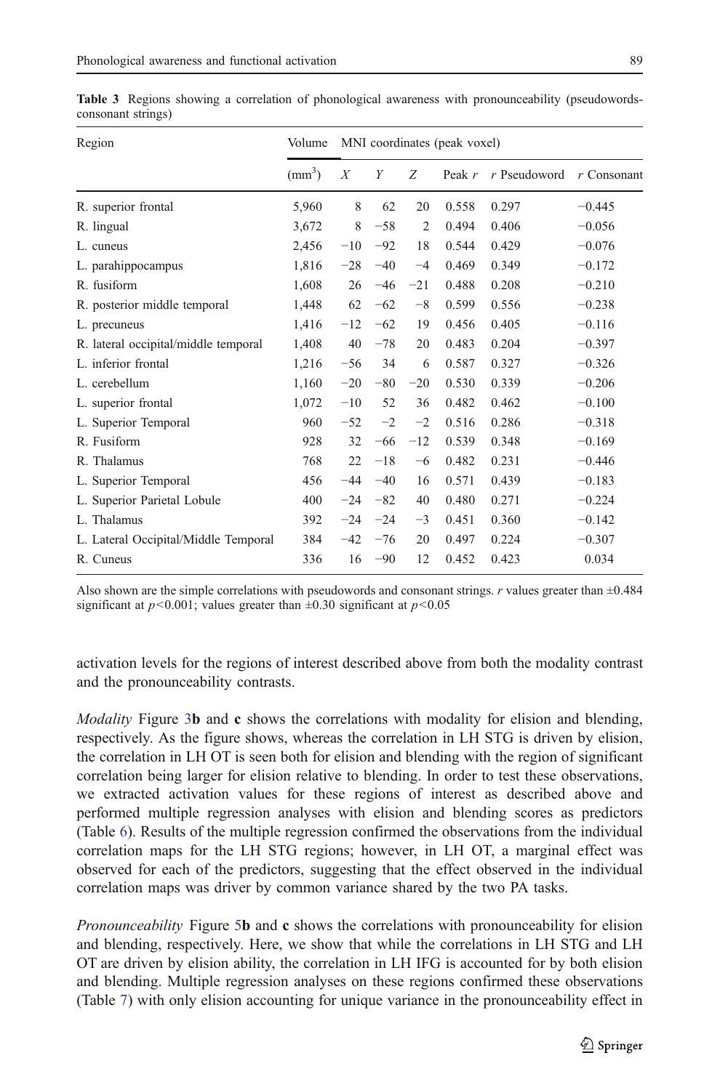| Region                               | Volume           | MNI coordinates (peak voxel) |       |                |          |                |               |  |
|--------------------------------------|------------------|------------------------------|-------|----------------|----------|----------------|---------------|--|
|                                      | $\text{ (mm}^3)$ | $\boldsymbol{X}$             | Y     | Z              | Peak $r$ | $r$ Pseudoword | $r$ Consonant |  |
| R. superior frontal                  | 5,960            | 8                            | 62    | 20             | 0.558    | 0.297          | $-0.445$      |  |
| R. lingual                           | 3,672            | 8                            | $-58$ | $\overline{2}$ | 0.494    | 0.406          | $-0.056$      |  |
| L. cuneus                            | 2,456            | $-10$                        | $-92$ | 18             | 0.544    | 0.429          | $-0.076$      |  |
| L. parahippocampus                   | 1,816            | $-28$                        | $-40$ | $-4$           | 0.469    | 0.349          | $-0.172$      |  |
| R. fusiform                          | 1,608            | 26                           | $-46$ | $-21$          | 0.488    | 0.208          | $-0.210$      |  |
| R. posterior middle temporal         | 1,448            | 62                           | $-62$ | $-8$           | 0.599    | 0.556          | $-0.238$      |  |
| L. precuneus                         | 1,416            | $-12$                        | $-62$ | 19             | 0.456    | 0.405          | $-0.116$      |  |
| R. lateral occipital/middle temporal | 1,408            | 40                           | $-78$ | 20             | 0.483    | 0.204          | $-0.397$      |  |
| L. inferior frontal                  | 1,216            | $-56$                        | 34    | 6              | 0.587    | 0.327          | $-0.326$      |  |
| L. cerebellum                        | 1,160            | $-20$                        | $-80$ | $-20$          | 0.530    | 0.339          | $-0.206$      |  |
| L. superior frontal                  | 1,072            | $-10$                        | 52    | 36             | 0.482    | 0.462          | $-0.100$      |  |
| L. Superior Temporal                 | 960              | $-52$                        | $-2$  | $-2$           | 0.516    | 0.286          | $-0.318$      |  |
| R. Fusiform                          | 928              | 32                           | $-66$ | $-12$          | 0.539    | 0.348          | $-0.169$      |  |
| R. Thalamus                          | 768              | 22                           | $-18$ | $-6$           | 0.482    | 0.231          | $-0.446$      |  |
| L. Superior Temporal                 | 456              | $-44$                        | $-40$ | 16             | 0.571    | 0.439          | $-0.183$      |  |
| L. Superior Parietal Lobule          | 400              | $-24$                        | $-82$ | 40             | 0.480    | 0.271          | $-0.224$      |  |
| L. Thalamus                          | 392              | $-24$                        | $-24$ | $-3$           | 0.451    | 0.360          | $-0.142$      |  |
| L. Lateral Occipital/Middle Temporal | 384              | $-42$                        | $-76$ | 20             | 0.497    | 0.224          | $-0.307$      |  |
| R. Cuneus                            | 336              | 16                           | $-90$ | 12             | 0.452    | 0.423          | 0.034         |  |

<span id="page-11-0"></span>Table 3 Regions showing a correlation of phonological awareness with pronounceability (pseudowordsconsonant strings)

Also shown are the simple correlations with pseudowords and consonant strings.  $r$  values greater than  $\pm 0.484$ significant at  $p<0.001$ ; values greater than  $\pm 0.30$  significant at  $p<0.05$ 

activation levels for the regions of interest described above from both the modality contrast and the pronounceability contrasts.

*Modality* Figure [3](#page-9-0)b and  $c$  shows the correlations with modality for elision and blending, respectively. As the figure shows, whereas the correlation in LH STG is driven by elision, the correlation in LH OT is seen both for elision and blending with the region of significant correlation being larger for elision relative to blending. In order to test these observations, we extracted activation values for these regions of interest as described above and performed multiple regression analyses with elision and blending scores as predictors (Table [6\)](#page-15-0). Results of the multiple regression confirmed the observations from the individual correlation maps for the LH STG regions; however, in LH OT, a marginal effect was observed for each of the predictors, suggesting that the effect observed in the individual correlation maps was driver by common variance shared by the two PA tasks.

*Pronounceability* Figure [5](#page-12-0)**b** and **c** shows the correlations with pronounceability for elision and blending, respectively. Here, we show that while the correlations in LH STG and LH OT are driven by elision ability, the correlation in LH IFG is accounted for by both elision and blending. Multiple regression analyses on these regions confirmed these observations (Table [7\)](#page-15-0) with only elision accounting for unique variance in the pronounceability effect in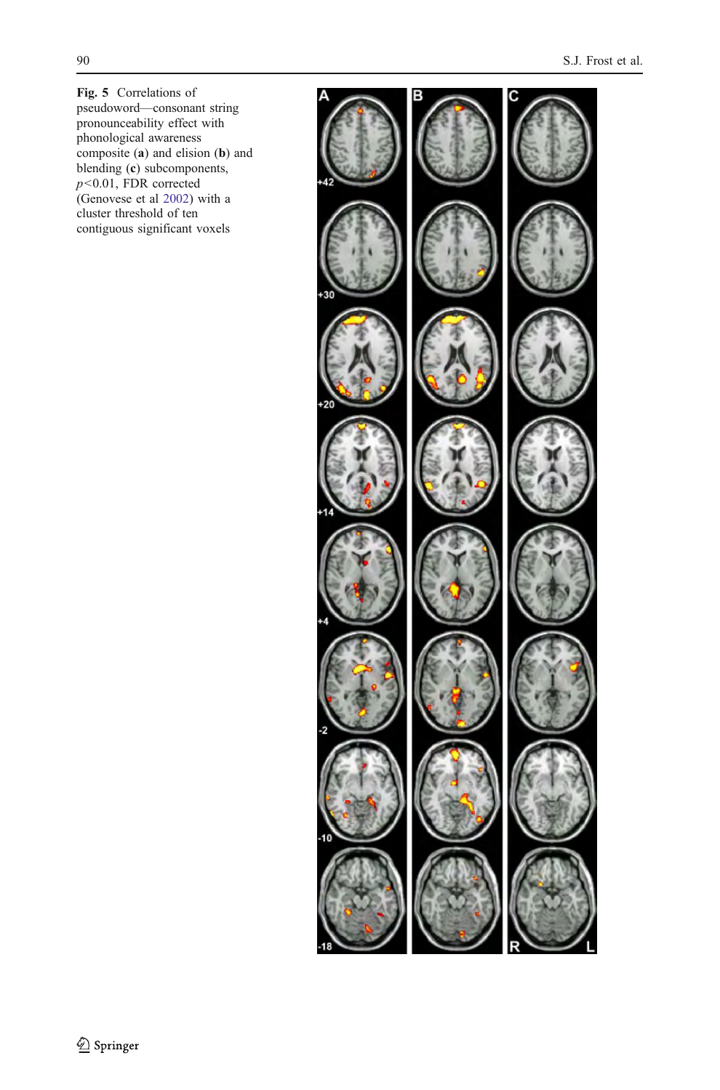<span id="page-12-0"></span>Fig. 5 Correlations of pseudoword—consonant string pronounceability effect with phonological awareness composite ( a) and elision ( b) and blending (c) subcomponents,  $p<0.01$ , FDR corrected (Genovese et al [2002](#page-17-0)) with a cluster threshold of ten contiguous significant voxels

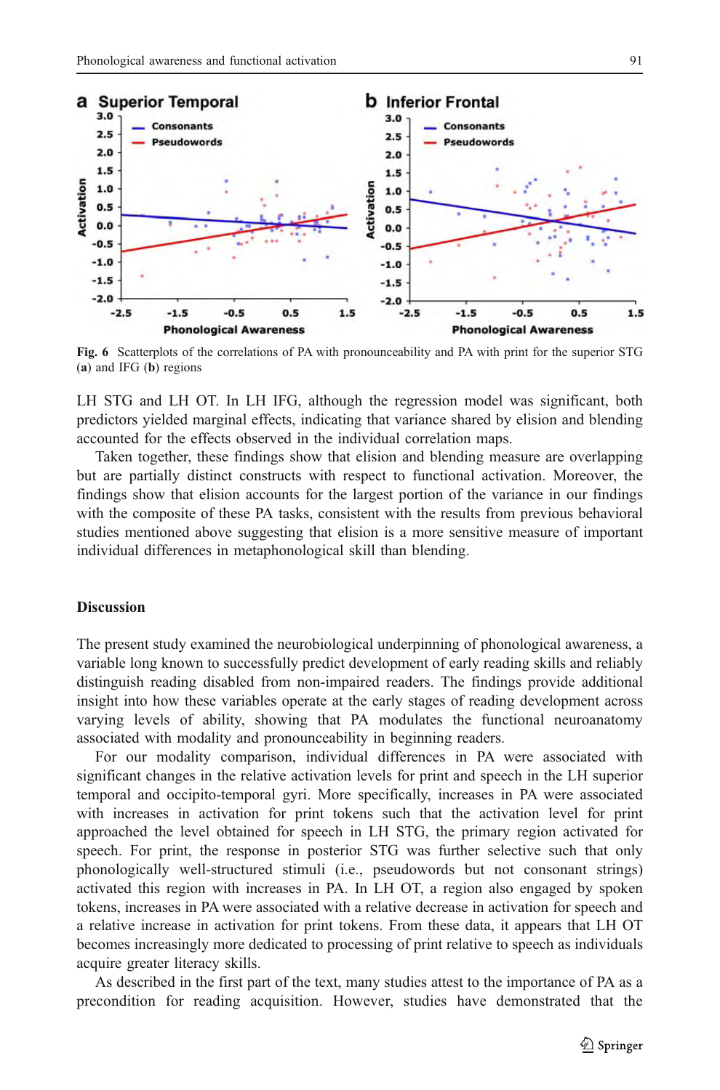<span id="page-13-0"></span>

Fig. 6 Scatterplots of the correlations of PA with pronounceability and PA with print for the superior STG (a) and IFG (b) regions

LH STG and LH OT. In LH IFG, although the regression model was significant, both predictors yielded marginal effects, indicating that variance shared by elision and blending accounted for the effects observed in the individual correlation maps.

Taken together, these findings show that elision and blending measure are overlapping but are partially distinct constructs with respect to functional activation. Moreover, the findings show that elision accounts for the largest portion of the variance in our findings with the composite of these PA tasks, consistent with the results from previous behavioral studies mentioned above suggesting that elision is a more sensitive measure of important individual differences in metaphonological skill than blending.

#### **Discussion**

The present study examined the neurobiological underpinning of phonological awareness, a variable long known to successfully predict development of early reading skills and reliably distinguish reading disabled from non-impaired readers. The findings provide additional insight into how these variables operate at the early stages of reading development across varying levels of ability, showing that PA modulates the functional neuroanatomy associated with modality and pronounceability in beginning readers.

For our modality comparison, individual differences in PA were associated with significant changes in the relative activation levels for print and speech in the LH superior temporal and occipito-temporal gyri. More specifically, increases in PA were associated with increases in activation for print tokens such that the activation level for print approached the level obtained for speech in LH STG, the primary region activated for speech. For print, the response in posterior STG was further selective such that only phonologically well-structured stimuli (i.e., pseudowords but not consonant strings) activated this region with increases in PA. In LH OT, a region also engaged by spoken tokens, increases in PA were associated with a relative decrease in activation for speech and a relative increase in activation for print tokens. From these data, it appears that LH OT becomes increasingly more dedicated to processing of print relative to speech as individuals acquire greater literacy skills.

As described in the first part of the text, many studies attest to the importance of PA as a precondition for reading acquisition. However, studies have demonstrated that the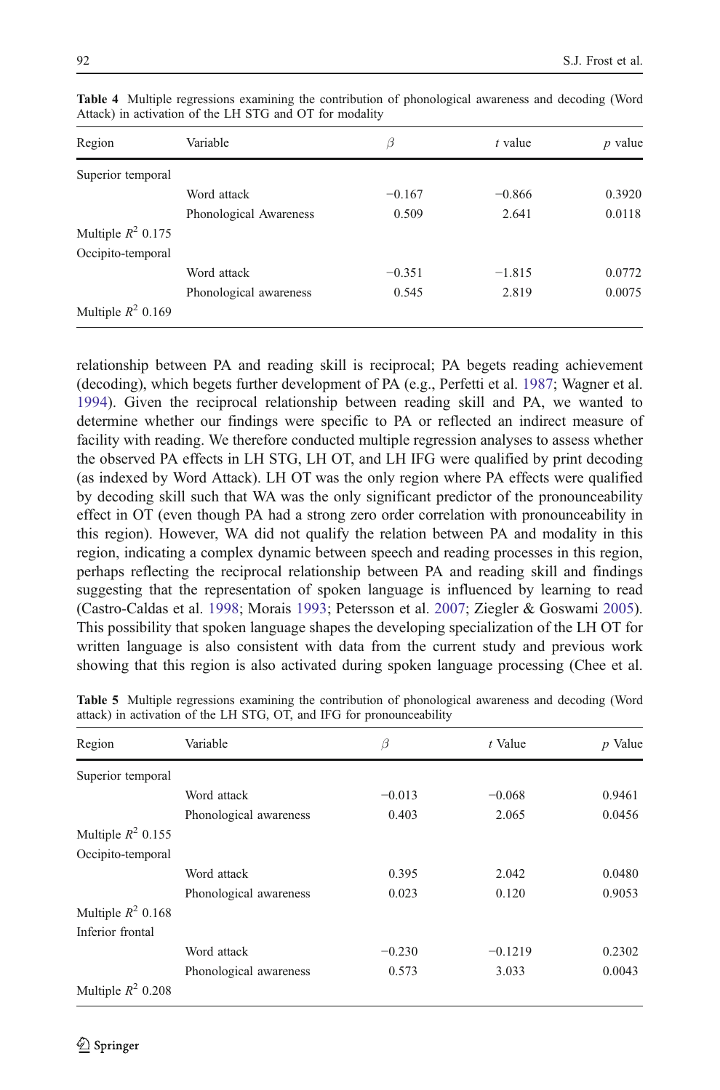| Region               | Variable               | β        | $t$ value | $p$ value |  |
|----------------------|------------------------|----------|-----------|-----------|--|
| Superior temporal    |                        |          |           |           |  |
|                      | Word attack            | $-0.167$ | $-0.866$  | 0.3920    |  |
|                      | Phonological Awareness | 0.509    | 2.641     | 0.0118    |  |
| Multiple $R^2$ 0.175 |                        |          |           |           |  |
| Occipito-temporal    |                        |          |           |           |  |
|                      | Word attack            | $-0.351$ | $-1.815$  | 0.0772    |  |
|                      | Phonological awareness | 0.545    | 2.819     | 0.0075    |  |
| Multiple $R^2$ 0.169 |                        |          |           |           |  |

<span id="page-14-0"></span>Table 4 Multiple regressions examining the contribution of phonological awareness and decoding (Word Attack) in activation of the LH STG and OT for modality

relationship between PA and reading skill is reciprocal; PA begets reading achievement (decoding), which begets further development of PA (e.g., Perfetti et al. [1987;](#page-18-0) Wagner et al. [1994\)](#page-19-0). Given the reciprocal relationship between reading skill and PA, we wanted to determine whether our findings were specific to PA or reflected an indirect measure of facility with reading. We therefore conducted multiple regression analyses to assess whether the observed PA effects in LH STG, LH OT, and LH IFG were qualified by print decoding (as indexed by Word Attack). LH OT was the only region where PA effects were qualified by decoding skill such that WA was the only significant predictor of the pronounceability effect in OT (even though PA had a strong zero order correlation with pronounceability in this region). However, WA did not qualify the relation between PA and modality in this region, indicating a complex dynamic between speech and reading processes in this region, perhaps reflecting the reciprocal relationship between PA and reading skill and findings suggesting that the representation of spoken language is influenced by learning to read (Castro-Caldas et al. [1998](#page-17-0); Morais [1993;](#page-18-0) Petersson et al. [2007](#page-18-0); Ziegler & Goswami [2005](#page-19-0)). This possibility that spoken language shapes the developing specialization of the LH OT for written language is also consistent with data from the current study and previous work showing that this region is also activated during spoken language processing (Chee et al.

| Region               | Variable               | $\beta$  | $t$ Value | <i>p</i> Value |
|----------------------|------------------------|----------|-----------|----------------|
| Superior temporal    |                        |          |           |                |
|                      | Word attack            | $-0.013$ | $-0.068$  | 0.9461         |
|                      | Phonological awareness | 0.403    | 2.065     | 0.0456         |
| Multiple $R^2$ 0.155 |                        |          |           |                |
| Occipito-temporal    |                        |          |           |                |
|                      | Word attack            | 0.395    | 2.042     | 0.0480         |
|                      | Phonological awareness | 0.023    | 0.120     | 0.9053         |
| Multiple $R^2$ 0.168 |                        |          |           |                |
| Inferior frontal     |                        |          |           |                |
|                      | Word attack            | $-0.230$ | $-0.1219$ | 0.2302         |
|                      | Phonological awareness | 0.573    | 3.033     | 0.0043         |
| Multiple $R^2$ 0.208 |                        |          |           |                |

Table 5 Multiple regressions examining the contribution of phonological awareness and decoding (Word attack) in activation of the LH STG, OT, and IFG for pronounceability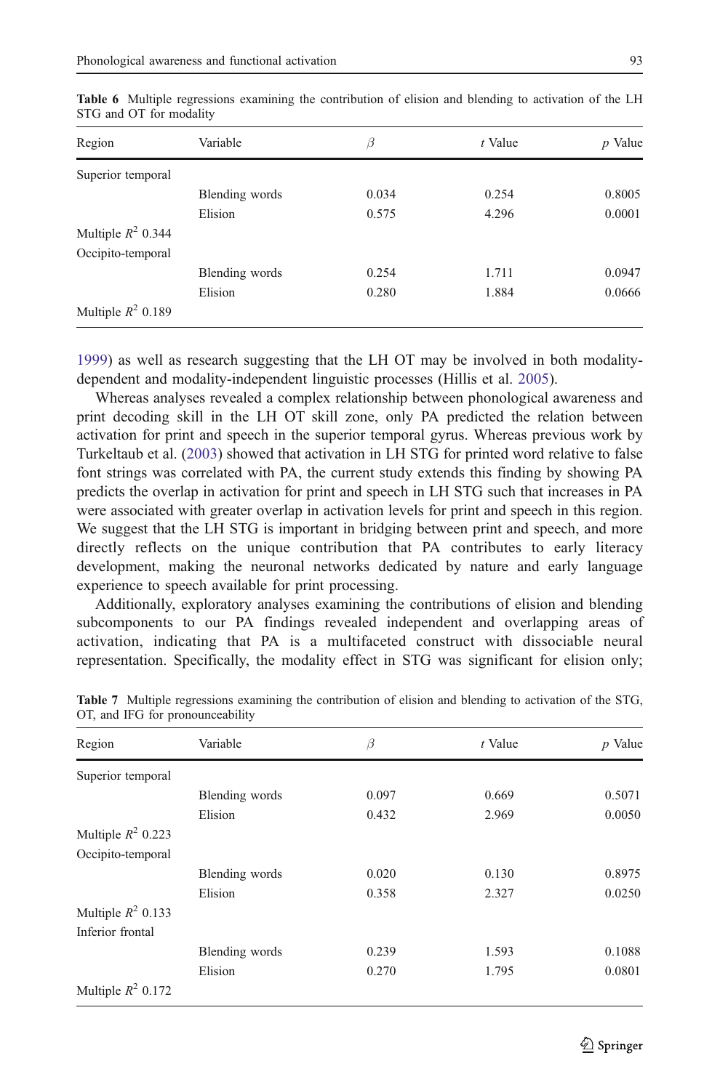| Region               | Variable       | β     | t Value | Value<br>$\boldsymbol{p}$ |
|----------------------|----------------|-------|---------|---------------------------|
| Superior temporal    |                |       |         |                           |
|                      | Blending words | 0.034 | 0.254   | 0.8005                    |
|                      | Elision        | 0.575 | 4.296   | 0.0001                    |
| Multiple $R^2$ 0.344 |                |       |         |                           |
| Occipito-temporal    |                |       |         |                           |
|                      | Blending words | 0.254 | 1.711   | 0.0947                    |
|                      | Elision        | 0.280 | 1.884   | 0.0666                    |
| Multiple $R^2$ 0.189 |                |       |         |                           |

<span id="page-15-0"></span>Table 6 Multiple regressions examining the contribution of elision and blending to activation of the LH STG and OT for modality

[1999\)](#page-17-0) as well as research suggesting that the LH OT may be involved in both modalitydependent and modality-independent linguistic processes (Hillis et al. [2005](#page-18-0)).

Whereas analyses revealed a complex relationship between phonological awareness and print decoding skill in the LH OT skill zone, only PA predicted the relation between activation for print and speech in the superior temporal gyrus. Whereas previous work by Turkeltaub et al. ([2003\)](#page-19-0) showed that activation in LH STG for printed word relative to false font strings was correlated with PA, the current study extends this finding by showing PA predicts the overlap in activation for print and speech in LH STG such that increases in PA were associated with greater overlap in activation levels for print and speech in this region. We suggest that the LH STG is important in bridging between print and speech, and more directly reflects on the unique contribution that PA contributes to early literacy development, making the neuronal networks dedicated by nature and early language experience to speech available for print processing.

Additionally, exploratory analyses examining the contributions of elision and blending subcomponents to our PA findings revealed independent and overlapping areas of activation, indicating that PA is a multifaceted construct with dissociable neural representation. Specifically, the modality effect in STG was significant for elision only;

| Region               | Variable                                    | $\beta$ | $t$ Value | <i>p</i> Value |  |
|----------------------|---------------------------------------------|---------|-----------|----------------|--|
| Superior temporal    | Blending words<br>Elision<br>Blending words |         |           |                |  |
|                      |                                             | 0.097   | 0.669     | 0.5071         |  |
|                      |                                             | 0.432   | 2.969     | 0.0050         |  |
| Multiple $R^2$ 0.223 |                                             |         |           |                |  |
| Occipito-temporal    |                                             |         |           |                |  |
|                      |                                             | 0.020   | 0.130     | 0.8975         |  |
|                      | Elision                                     | 0.358   | 2.327     | 0.0250         |  |
| Multiple $R^2$ 0.133 |                                             |         |           |                |  |
| Inferior frontal     |                                             |         |           |                |  |
|                      | Blending words                              | 0.239   | 1.593     | 0.1088         |  |
|                      | Elision                                     | 0.270   | 1.795     | 0.0801         |  |
| Multiple $R^2$ 0.172 |                                             |         |           |                |  |

| <b>Table 7</b> Multiple regressions examining the contribution of elision and blending to activation of the STG, |  |  |  |  |  |  |
|------------------------------------------------------------------------------------------------------------------|--|--|--|--|--|--|
| OT, and IFG for pronounceability                                                                                 |  |  |  |  |  |  |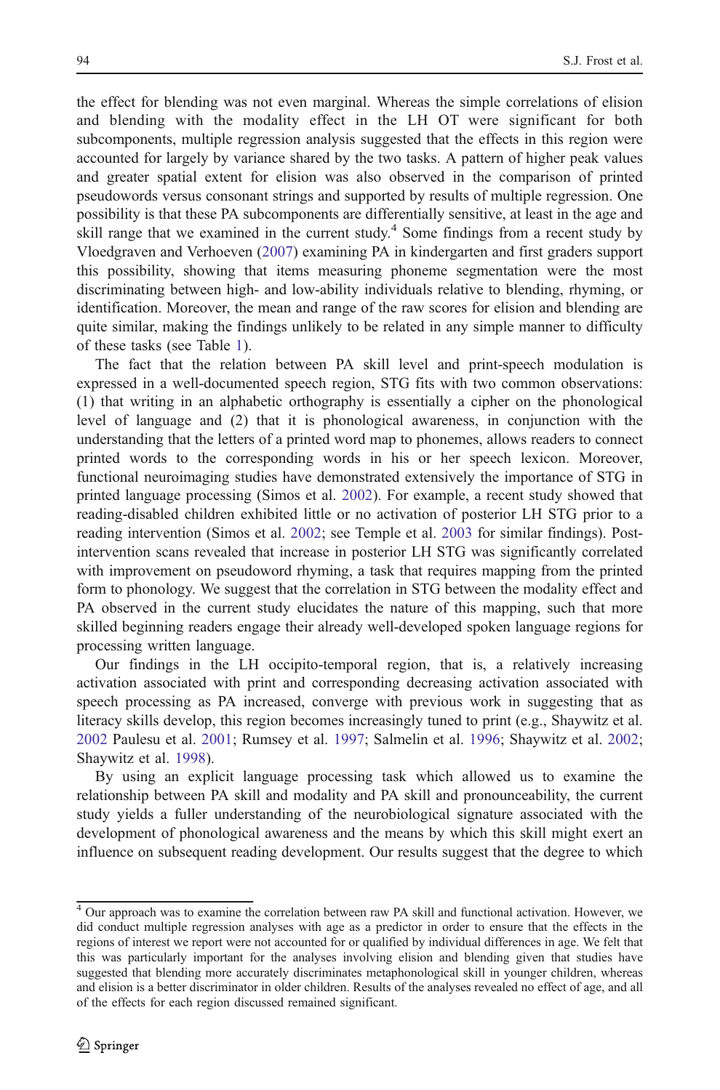the effect for blending was not even marginal. Whereas the simple correlations of elision and blending with the modality effect in the LH OT were significant for both subcomponents, multiple regression analysis suggested that the effects in this region were accounted for largely by variance shared by the two tasks. A pattern of higher peak values and greater spatial extent for elision was also observed in the comparison of printed pseudowords versus consonant strings and supported by results of multiple regression. One possibility is that these PA subcomponents are differentially sensitive, at least in the age and skill range that we examined in the current study.<sup>4</sup> Some findings from a recent study by Vloedgraven and Verhoeven [\(2007\)](#page-19-0) examining PA in kindergarten and first graders support this possibility, showing that items measuring phoneme segmentation were the most discriminating between high- and low-ability individuals relative to blending, rhyming, or identification. Moreover, the mean and range of the raw scores for elision and blending are quite similar, making the findings unlikely to be related in any simple manner to difficulty of these tasks (see Table [1\)](#page-4-0).

The fact that the relation between PA skill level and print-speech modulation is expressed in a well-documented speech region, STG fits with two common observations: (1) that writing in an alphabetic orthography is essentially a cipher on the phonological level of language and (2) that it is phonological awareness, in conjunction with the understanding that the letters of a printed word map to phonemes, allows readers to connect printed words to the corresponding words in his or her speech lexicon. Moreover, functional neuroimaging studies have demonstrated extensively the importance of STG in printed language processing (Simos et al. [2002\)](#page-19-0). For example, a recent study showed that reading-disabled children exhibited little or no activation of posterior LH STG prior to a reading intervention (Simos et al. [2002](#page-19-0); see Temple et al. [2003](#page-19-0) for similar findings). Postintervention scans revealed that increase in posterior LH STG was significantly correlated with improvement on pseudoword rhyming, a task that requires mapping from the printed form to phonology. We suggest that the correlation in STG between the modality effect and PA observed in the current study elucidates the nature of this mapping, such that more skilled beginning readers engage their already well-developed spoken language regions for processing written language.

Our findings in the LH occipito-temporal region, that is, a relatively increasing activation associated with print and corresponding decreasing activation associated with speech processing as PA increased, converge with previous work in suggesting that as literacy skills develop, this region becomes increasingly tuned to print (e.g., Shaywitz et al. [2002](#page-19-0) Paulesu et al. [2001](#page-18-0); Rumsey et al. [1997;](#page-18-0) Salmelin et al. [1996](#page-18-0); Shaywitz et al. [2002](#page-19-0); Shaywitz et al. [1998\)](#page-18-0).

By using an explicit language processing task which allowed us to examine the relationship between PA skill and modality and PA skill and pronounceability, the current study yields a fuller understanding of the neurobiological signature associated with the development of phonological awareness and the means by which this skill might exert an influence on subsequent reading development. Our results suggest that the degree to which

<sup>4</sup> Our approach was to examine the correlation between raw PA skill and functional activation. However, we did conduct multiple regression analyses with age as a predictor in order to ensure that the effects in the regions of interest we report were not accounted for or qualified by individual differences in age. We felt that this was particularly important for the analyses involving elision and blending given that studies have suggested that blending more accurately discriminates metaphonological skill in younger children, whereas and elision is a better discriminator in older children. Results of the analyses revealed no effect of age, and all of the effects for each region discussed remained significant.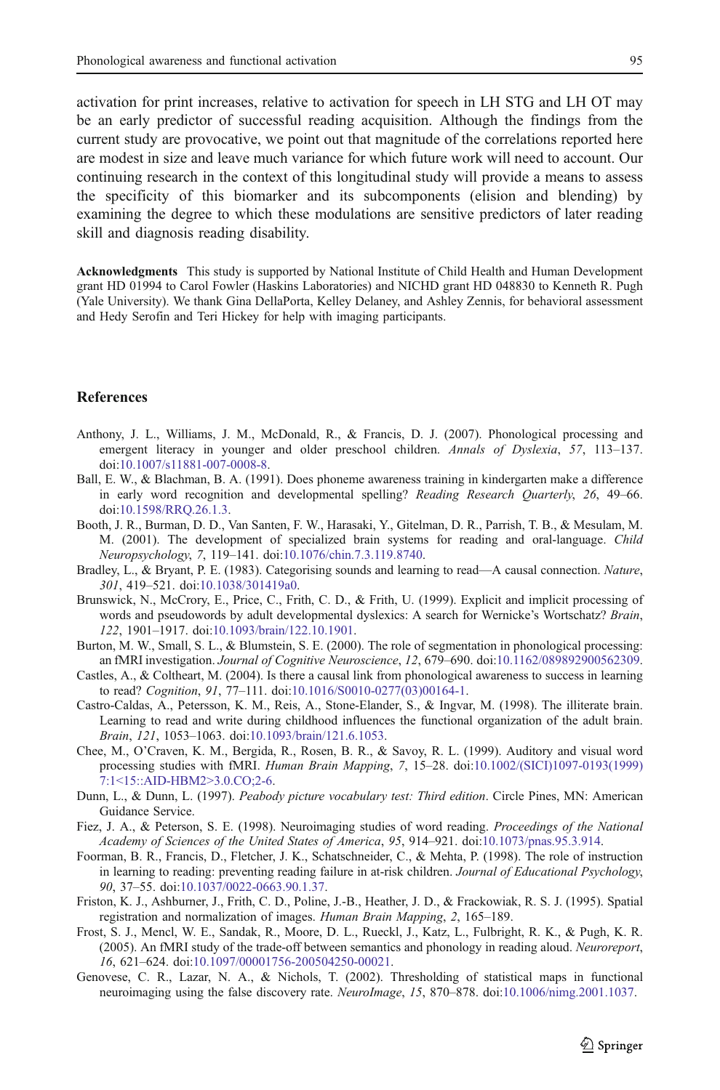<span id="page-17-0"></span>activation for print increases, relative to activation for speech in LH STG and LH OT may be an early predictor of successful reading acquisition. Although the findings from the current study are provocative, we point out that magnitude of the correlations reported here are modest in size and leave much variance for which future work will need to account. Our continuing research in the context of this longitudinal study will provide a means to assess the specificity of this biomarker and its subcomponents (elision and blending) by examining the degree to which these modulations are sensitive predictors of later reading skill and diagnosis reading disability.

Acknowledgments This study is supported by National Institute of Child Health and Human Development grant HD 01994 to Carol Fowler (Haskins Laboratories) and NICHD grant HD 048830 to Kenneth R. Pugh (Yale University). We thank Gina DellaPorta, Kelley Delaney, and Ashley Zennis, for behavioral assessment and Hedy Serofin and Teri Hickey for help with imaging participants.

### **References**

- Anthony, J. L., Williams, J. M., McDonald, R., & Francis, D. J. (2007). Phonological processing and emergent literacy in younger and older preschool children. Annals of Dyslexia, 57, 113–137. doi[:10.1007/s11881-007-0008-8](http://dx.doi.org/10.1007/s11881-007-0008-8).
- Ball, E. W., & Blachman, B. A. (1991). Does phoneme awareness training in kindergarten make a difference in early word recognition and developmental spelling? Reading Research Quarterly, 26, 49–66. doi:[10.1598/RRQ.26.1.3](http://dx.doi.org/10.1598/RRQ.26.1.3).
- Booth, J. R., Burman, D. D., Van Santen, F. W., Harasaki, Y., Gitelman, D. R., Parrish, T. B., & Mesulam, M. M. (2001). The development of specialized brain systems for reading and oral-language. Child Neuropsychology, 7, 119–141. doi:[10.1076/chin.7.3.119.8740.](http://dx.doi.org/10.1076/chin.7.3.119.8740)
- Bradley, L., & Bryant, P. E. (1983). Categorising sounds and learning to read—A causal connection. Nature, 301, 419–521. doi:[10.1038/301419a0](http://dx.doi.org/10.1038/301419a0).
- Brunswick, N., McCrory, E., Price, C., Frith, C. D., & Frith, U. (1999). Explicit and implicit processing of words and pseudowords by adult developmental dyslexics: A search for Wernicke's Wortschatz? Brain, 122, 1901–1917. doi:[10.1093/brain/122.10.1901.](http://dx.doi.org/10.1093/brain/122.10.1901)
- Burton, M. W., Small, S. L., & Blumstein, S. E. (2000). The role of segmentation in phonological processing: an fMRI investigation. Journal of Cognitive Neuroscience, 12, 679–690. doi[:10.1162/089892900562309.](http://dx.doi.org/10.1162/089892900562309)
- Castles, A., & Coltheart, M. (2004). Is there a causal link from phonological awareness to success in learning to read? Cognition, 91, 77–111. doi[:10.1016/S0010-0277\(03\)00164-1](http://dx.doi.org/10.1016/S0010-0277(03)00164-1).
- Castro-Caldas, A., Petersson, K. M., Reis, A., Stone-Elander, S., & Ingvar, M. (1998). The illiterate brain. Learning to read and write during childhood influences the functional organization of the adult brain. Brain, 121, 1053–1063. doi[:10.1093/brain/121.6.1053](http://dx.doi.org/10.1093/brain/121.6.1053).
- Chee, M., O'Craven, K. M., Bergida, R., Rosen, B. R., & Savoy, R. L. (1999). Auditory and visual word processing studies with fMRI. Human Brain Mapping, 7, 15–28. doi[:10.1002/\(SICI\)1097-0193\(1999\)](http://dx.doi.org/10.1002/(SICI)1097-0193(1999)7:1<15::AID-HBM2>3.0.CO;2-6) [7:1<15::AID-HBM2>3.0.CO;2-6](http://dx.doi.org/10.1002/(SICI)1097-0193(1999)7:1<15::AID-HBM2>3.0.CO;2-6).
- Dunn, L., & Dunn, L. (1997). Peabody picture vocabulary test: Third edition. Circle Pines, MN: American Guidance Service.
- Fiez, J. A., & Peterson, S. E. (1998). Neuroimaging studies of word reading. Proceedings of the National Academy of Sciences of the United States of America, 95, 914–921. doi[:10.1073/pnas.95.3.914.](http://dx.doi.org/10.1073/pnas.95.3.914)
- Foorman, B. R., Francis, D., Fletcher, J. K., Schatschneider, C., & Mehta, P. (1998). The role of instruction in learning to reading: preventing reading failure in at-risk children. Journal of Educational Psychology, 90, 37–55. doi[:10.1037/0022-0663.90.1.37](http://dx.doi.org/10.1037/0022-0663.90.1.37).
- Friston, K. J., Ashburner, J., Frith, C. D., Poline, J.-B., Heather, J. D., & Frackowiak, R. S. J. (1995). Spatial registration and normalization of images. Human Brain Mapping, 2, 165–189.
- Frost, S. J., Mencl, W. E., Sandak, R., Moore, D. L., Rueckl, J., Katz, L., Fulbright, R. K., & Pugh, K. R. (2005). An fMRI study of the trade-off between semantics and phonology in reading aloud. Neuroreport, 16, 621–624. doi[:10.1097/00001756-200504250-00021.](http://dx.doi.org/10.1097/00001756-200504250-00021)
- Genovese, C. R., Lazar, N. A., & Nichols, T. (2002). Thresholding of statistical maps in functional neuroimaging using the false discovery rate. NeuroImage, 15, 870–878. doi[:10.1006/nimg.2001.1037](http://dx.doi.org/10.1006/nimg.2001.1037).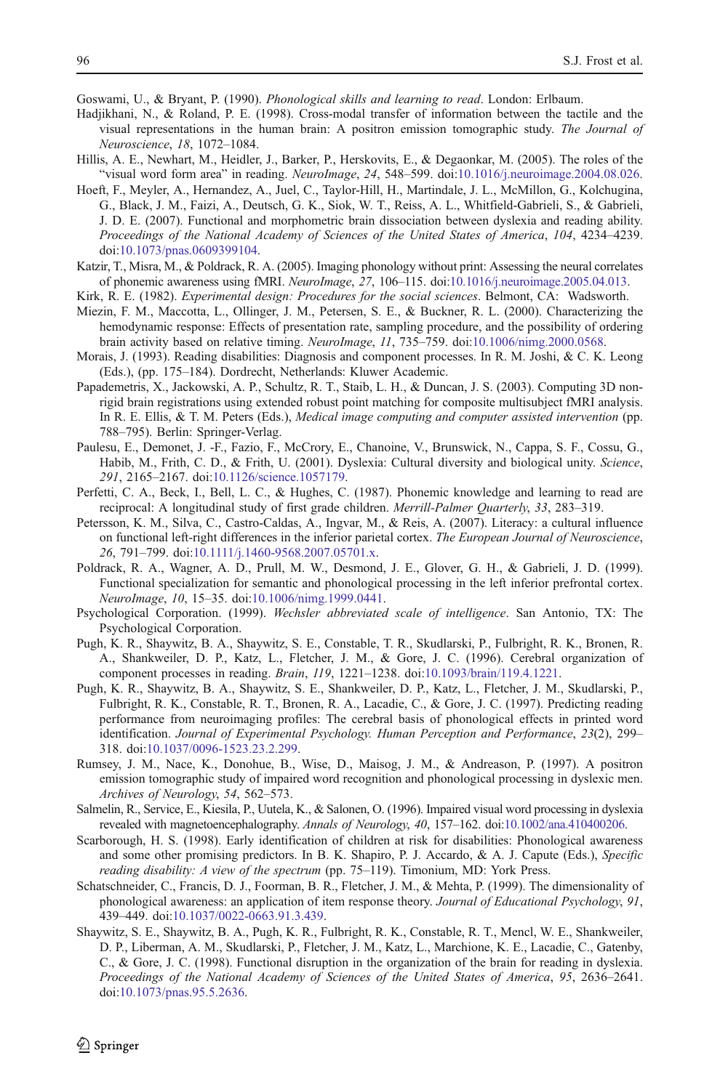<span id="page-18-0"></span>Goswami, U., & Bryant, P. (1990). *Phonological skills and learning to read*. London: Erlbaum.

- Hadjikhani, N., & Roland, P. E. (1998). Cross-modal transfer of information between the tactile and the visual representations in the human brain: A positron emission tomographic study. The Journal of Neuroscience, 18, 1072–1084.
- Hillis, A. E., Newhart, M., Heidler, J., Barker, P., Herskovits, E., & Degaonkar, M. (2005). The roles of the "visual word form area" in reading. NeuroImage, 24, 548–599. doi[:10.1016/j.neuroimage.2004.08.026.](http://dx.doi.org/10.1016/j.neuroimage.2004.08.026)
- Hoeft, F., Meyler, A., Hernandez, A., Juel, C., Taylor-Hill, H., Martindale, J. L., McMillon, G., Kolchugina, G., Black, J. M., Faizi, A., Deutsch, G. K., Siok, W. T., Reiss, A. L., Whitfield-Gabrieli, S., & Gabrieli, J. D. E. (2007). Functional and morphometric brain dissociation between dyslexia and reading ability. Proceedings of the National Academy of Sciences of the United States of America, 104, 4234–4239. doi[:10.1073/pnas.0609399104](http://dx.doi.org/10.1073/pnas.0609399104).
- Katzir, T., Misra, M., & Poldrack, R. A. (2005). Imaging phonology without print: Assessing the neural correlates of phonemic awareness using fMRI. NeuroImage, 27, 106–115. doi:[10.1016/j.neuroimage.2005.04.013.](http://dx.doi.org/10.1016/j.neuroimage.2005.04.013)

Kirk, R. E. (1982). Experimental design: Procedures for the social sciences. Belmont, CA: Wadsworth.

- Miezin, F. M., Maccotta, L., Ollinger, J. M., Petersen, S. E., & Buckner, R. L. (2000). Characterizing the hemodynamic response: Effects of presentation rate, sampling procedure, and the possibility of ordering brain activity based on relative timing. NeuroImage, 11, 735–759. doi:[10.1006/nimg.2000.0568.](http://dx.doi.org/10.1006/nimg.2000.0568)
- Morais, J. (1993). Reading disabilities: Diagnosis and component processes. In R. M. Joshi, & C. K. Leong (Eds.), (pp. 175–184). Dordrecht, Netherlands: Kluwer Academic.
- Papademetris, X., Jackowski, A. P., Schultz, R. T., Staib, L. H., & Duncan, J. S. (2003). Computing 3D nonrigid brain registrations using extended robust point matching for composite multisubject fMRI analysis. In R. E. Ellis, & T. M. Peters (Eds.), *Medical image computing and computer assisted intervention* (pp. 788–795). Berlin: Springer-Verlag.
- Paulesu, E., Demonet, J. -F., Fazio, F., McCrory, E., Chanoine, V., Brunswick, N., Cappa, S. F., Cossu, G., Habib, M., Frith, C. D., & Frith, U. (2001). Dyslexia: Cultural diversity and biological unity. Science, 291, 2165–2167. doi:[10.1126/science.1057179.](http://dx.doi.org/10.1126/science.1057179)
- Perfetti, C. A., Beck, I., Bell, L. C., & Hughes, C. (1987). Phonemic knowledge and learning to read are reciprocal: A longitudinal study of first grade children. Merrill-Palmer Quarterly, 33, 283–319.
- Petersson, K. M., Silva, C., Castro-Caldas, A., Ingvar, M., & Reis, A. (2007). Literacy: a cultural influence on functional left-right differences in the inferior parietal cortex. The European Journal of Neuroscience, 26, 791–799. doi[:10.1111/j.1460-9568.2007.05701.x](http://dx.doi.org/10.1111/j.1460-9568.2007.05701.x).
- Poldrack, R. A., Wagner, A. D., Prull, M. W., Desmond, J. E., Glover, G. H., & Gabrieli, J. D. (1999). Functional specialization for semantic and phonological processing in the left inferior prefrontal cortex. NeuroImage, 10, 15–35. doi:[10.1006/nimg.1999.0441.](http://dx.doi.org/10.1006/nimg.1999.0441)
- Psychological Corporation. (1999). Wechsler abbreviated scale of intelligence. San Antonio, TX: The Psychological Corporation.
- Pugh, K. R., Shaywitz, B. A., Shaywitz, S. E., Constable, T. R., Skudlarski, P., Fulbright, R. K., Bronen, R. A., Shankweiler, D. P., Katz, L., Fletcher, J. M., & Gore, J. C. (1996). Cerebral organization of component processes in reading. Brain, 119, 1221–1238. doi[:10.1093/brain/119.4.1221](http://dx.doi.org/10.1093/brain/119.4.1221).
- Pugh, K. R., Shaywitz, B. A., Shaywitz, S. E., Shankweiler, D. P., Katz, L., Fletcher, J. M., Skudlarski, P., Fulbright, R. K., Constable, R. T., Bronen, R. A., Lacadie, C., & Gore, J. C. (1997). Predicting reading performance from neuroimaging profiles: The cerebral basis of phonological effects in printed word identification. Journal of Experimental Psychology. Human Perception and Performance, 23(2), 299– 318. doi:[10.1037/0096-1523.23.2.299.](http://dx.doi.org/10.1037/0096-1523.23.2.299)
- Rumsey, J. M., Nace, K., Donohue, B., Wise, D., Maisog, J. M., & Andreason, P. (1997). A positron emission tomographic study of impaired word recognition and phonological processing in dyslexic men. Archives of Neurology, 54, 562–573.
- Salmelin, R., Service, E., Kiesila, P., Uutela, K., & Salonen, O. (1996). Impaired visual word processing in dyslexia revealed with magnetoencephalography. Annals of Neurology, 40, 157–162. doi[:10.1002/ana.410400206](http://dx.doi.org/10.1002/ana.410400206).
- Scarborough, H. S. (1998). Early identification of children at risk for disabilities: Phonological awareness and some other promising predictors. In B. K. Shapiro, P. J. Accardo, & A. J. Capute (Eds.), Specific reading disability: A view of the spectrum (pp. 75–119). Timonium, MD: York Press.
- Schatschneider, C., Francis, D. J., Foorman, B. R., Fletcher, J. M., & Mehta, P. (1999). The dimensionality of phonological awareness: an application of item response theory. Journal of Educational Psychology, 91, 439–449. doi[:10.1037/0022-0663.91.3.439.](http://dx.doi.org/10.1037/0022-0663.91.3.439)
- Shaywitz, S. E., Shaywitz, B. A., Pugh, K. R., Fulbright, R. K., Constable, R. T., Mencl, W. E., Shankweiler, D. P., Liberman, A. M., Skudlarski, P., Fletcher, J. M., Katz, L., Marchione, K. E., Lacadie, C., Gatenby, C., & Gore, J. C. (1998). Functional disruption in the organization of the brain for reading in dyslexia. Proceedings of the National Academy of Sciences of the United States of America, 95, 2636–2641. doi[:10.1073/pnas.95.5.2636](http://dx.doi.org/10.1016/S0006-3223(02)01365-3).